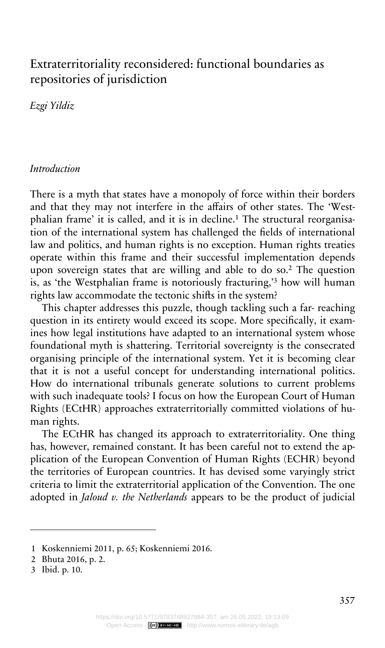# Extraterritoriality reconsidered: functional boundaries as repositories of jurisdiction

*Ezgi Yildiz*

## *Introduction*

There is a myth that states have a monopoly of force within their borders and that they may not interfere in the affairs of other states. The 'Westphalian frame' it is called, and it is in decline.<sup>1</sup> The structural reorganisation of the international system has challenged the fields of international law and politics, and human rights is no exception. Human rights treaties operate within this frame and their successful implementation depends upon sovereign states that are willing and able to do so.<sup>2</sup> The question is, as 'the Westphalian frame is notoriously fracturing,'<sup>3</sup> how will human rights law accommodate the tectonic shifts in the system?

This chapter addresses this puzzle, though tackling such a far- reaching question in its entirety would exceed its scope. More specifically, it examines how legal institutions have adapted to an international system whose foundational myth is shattering. Territorial sovereignty is the consecrated organising principle of the international system. Yet it is becoming clear that it is not a useful concept for understanding international politics. How do international tribunals generate solutions to current problems with such inadequate tools? I focus on how the European Court of Human Rights (ECtHR) approaches extraterritorially committed violations of human rights.

The ECtHR has changed its approach to extraterritoriality. One thing has, however, remained constant. It has been careful not to extend the application of the European Convention of Human Rights (ECHR) beyond the territories of European countries. It has devised some varyingly strict criteria to limit the extraterritorial application of the Convention. The one adopted in *Jaloud v. the Netherlands* appears to be the product of judicial

<sup>1</sup> Koskenniemi 2011, p. 65; Koskenniemi 2016.

<sup>2</sup> Bhuta 2016, p. 2.

<sup>3</sup> Ibid. p. 10.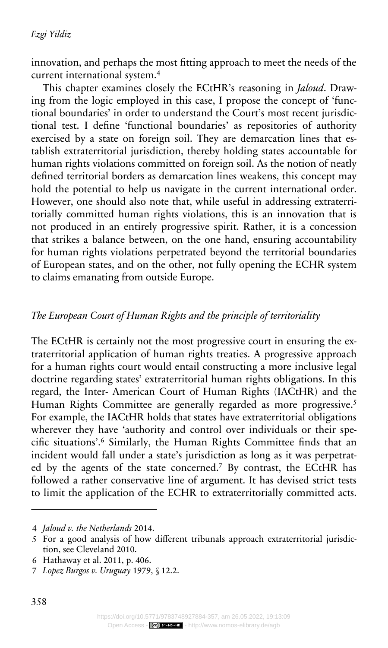innovation, and perhaps the most fitting approach to meet the needs of the current international system.<sup>4</sup>

This chapter examines closely the ECtHR's reasoning in *Jaloud*. Drawing from the logic employed in this case, I propose the concept of 'functional boundaries' in order to understand the Court's most recent jurisdictional test. I define 'functional boundaries' as repositories of authority exercised by a state on foreign soil. They are demarcation lines that establish extraterritorial jurisdiction, thereby holding states accountable for human rights violations committed on foreign soil. As the notion of neatly defined territorial borders as demarcation lines weakens, this concept may hold the potential to help us navigate in the current international order. However, one should also note that, while useful in addressing extraterritorially committed human rights violations, this is an innovation that is not produced in an entirely progressive spirit. Rather, it is a concession that strikes a balance between, on the one hand, ensuring accountability for human rights violations perpetrated beyond the territorial boundaries of European states, and on the other, not fully opening the ECHR system to claims emanating from outside Europe.

## *The European Court of Human Rights and the principle of territoriality*

The ECtHR is certainly not the most progressive court in ensuring the extraterritorial application of human rights treaties. A progressive approach for a human rights court would entail constructing a more inclusive legal doctrine regarding states' extraterritorial human rights obligations. In this regard, the Inter- American Court of Human Rights (IACtHR) and the Human Rights Committee are generally regarded as more progressive.<sup>5</sup> For example, the IACtHR holds that states have extraterritorial obligations wherever they have 'authority and control over individuals or their specific situations'.<sup>6</sup> Similarly, the Human Rights Committee finds that an incident would fall under a state's jurisdiction as long as it was perpetrated by the agents of the state concerned.<sup>7</sup> By contrast, the ECtHR has followed a rather conservative line of argument. It has devised strict tests to limit the application of the ECHR to extraterritorially committed acts.

<sup>4</sup> *Jaloud v. the Netherlands* 2014.

<sup>5</sup> For a good analysis of how different tribunals approach extraterritorial jurisdiction, see Cleveland 2010.

<sup>6</sup> Hathaway et al. 2011, p. 406.

<sup>7</sup> *Lopez Burgos v. Uruguay* 1979, § 12.2.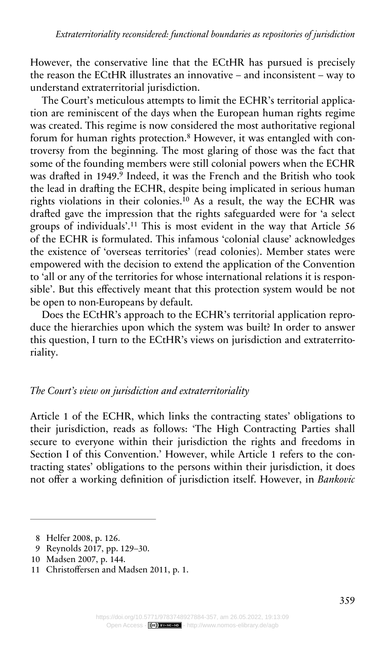However, the conservative line that the ECtHR has pursued is precisely the reason the ECtHR illustrates an innovative – and inconsistent – way to understand extraterritorial jurisdiction.

The Court's meticulous attempts to limit the ECHR's territorial application are reminiscent of the days when the European human rights regime was created. This regime is now considered the most authoritative regional forum for human rights protection.<sup>8</sup> However, it was entangled with controversy from the beginning. The most glaring of those was the fact that some of the founding members were still colonial powers when the ECHR was drafted in 1949.<sup>9</sup> Indeed, it was the French and the British who took the lead in drafting the ECHR, despite being implicated in serious human rights violations in their colonies.<sup>10</sup> As a result, the way the ECHR was drafted gave the impression that the rights safeguarded were for 'a select groups of individuals'.<sup>11</sup> This is most evident in the way that Article 56 of the ECHR is formulated. This infamous 'colonial clause' acknowledges the existence of 'overseas territories' (read colonies). Member states were empowered with the decision to extend the application of the Convention to 'all or any of the territories for whose international relations it is responsible'. But this effectively meant that this protection system would be not be open to non-Europeans by default.

Does the ECtHR's approach to the ECHR's territorial application reproduce the hierarchies upon which the system was built? In order to answer this question, I turn to the ECtHR's views on jurisdiction and extraterritoriality.

## *The Court's view on jurisdiction and extraterritoriality*

Article 1 of the ECHR, which links the contracting states' obligations to their jurisdiction, reads as follows: 'The High Contracting Parties shall secure to everyone within their jurisdiction the rights and freedoms in Section I of this Convention.' However, while Article 1 refers to the contracting states' obligations to the persons within their jurisdiction, it does not offer a working definition of jurisdiction itself. However, in *Bankovic* 

- 9 Reynolds 2017, pp. 129–30.
- 10 Madsen 2007, p. 144.

<sup>8</sup> Helfer 2008, p. 126.

<sup>11</sup> Christoffersen and Madsen 2011, p. 1.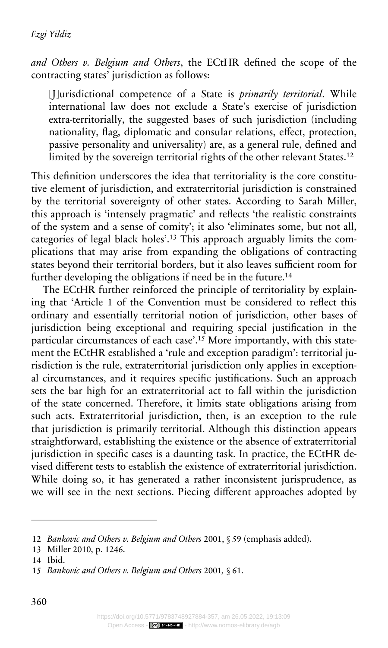*and Others v. Belgium and Others*, the ECtHR defined the scope of the contracting states' jurisdiction as follows:

[J]urisdictional competence of a State is *primarily territorial*. While international law does not exclude a State's exercise of jurisdiction extra-territorially, the suggested bases of such jurisdiction (including nationality, flag, diplomatic and consular relations, effect, protection, passive personality and universality) are, as a general rule, defined and limited by the sovereign territorial rights of the other relevant States.<sup>12</sup>

This definition underscores the idea that territoriality is the core constitutive element of jurisdiction, and extraterritorial jurisdiction is constrained by the territorial sovereignty of other states. According to Sarah Miller, this approach is 'intensely pragmatic' and reflects 'the realistic constraints of the system and a sense of comity'; it also 'eliminates some, but not all, categories of legal black holes'.13 This approach arguably limits the complications that may arise from expanding the obligations of contracting states beyond their territorial borders, but it also leaves sufficient room for further developing the obligations if need be in the future.<sup>14</sup>

The ECtHR further reinforced the principle of territoriality by explaining that 'Article 1 of the Convention must be considered to reflect this ordinary and essentially territorial notion of jurisdiction, other bases of jurisdiction being exceptional and requiring special justification in the particular circumstances of each case'.<sup>15</sup> More importantly, with this statement the ECtHR established a 'rule and exception paradigm': territorial jurisdiction is the rule, extraterritorial jurisdiction only applies in exceptional circumstances, and it requires specific justifications. Such an approach sets the bar high for an extraterritorial act to fall within the jurisdiction of the state concerned. Therefore, it limits state obligations arising from such acts. Extraterritorial jurisdiction, then, is an exception to the rule that jurisdiction is primarily territorial. Although this distinction appears straightforward, establishing the existence or the absence of extraterritorial jurisdiction in specific cases is a daunting task. In practice, the ECtHR devised different tests to establish the existence of extraterritorial jurisdiction. While doing so, it has generated a rather inconsistent jurisprudence, as we will see in the next sections. Piecing different approaches adopted by

<sup>12</sup> *Bankovic and Others v. Belgium and Others* 2001, § 59 (emphasis added).

<sup>13</sup> Miller 2010, p. 1246.

<sup>14</sup> Ibid.

<sup>15</sup> *Bankovic and Others v. Belgium and Others* 2001*,* § 61.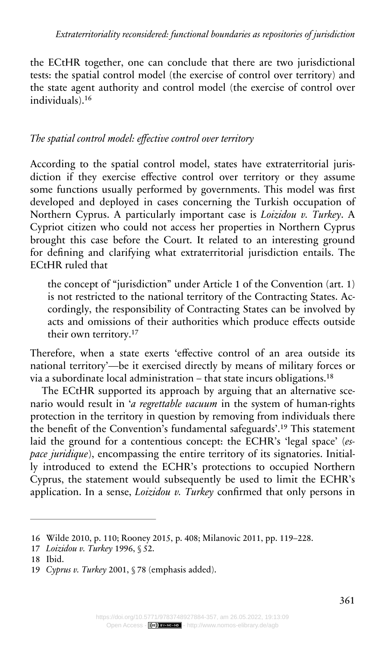the ECtHR together, one can conclude that there are two jurisdictional tests: the spatial control model (the exercise of control over territory) and the state agent authority and control model (the exercise of control over individuals).<sup>16</sup>

## *The spatial control model: effective control over territory*

According to the spatial control model, states have extraterritorial jurisdiction if they exercise effective control over territory or they assume some functions usually performed by governments. This model was first developed and deployed in cases concerning the Turkish occupation of Northern Cyprus. A particularly important case is *Loizidou v. Turkey*. A Cypriot citizen who could not access her properties in Northern Cyprus brought this case before the Court. It related to an interesting ground for defining and clarifying what extraterritorial jurisdiction entails. The ECtHR ruled that

the concept of "jurisdiction" under Article 1 of the Convention (art. 1) is not restricted to the national territory of the Contracting States. Accordingly, the responsibility of Contracting States can be involved by acts and omissions of their authorities which produce effects outside their own territory.<sup>17</sup>

Therefore, when a state exerts 'effective control of an area outside its national territory'—be it exercised directly by means of military forces or via a subordinate local administration – that state incurs obligations.<sup>18</sup>

The ECtHR supported its approach by arguing that an alternative scenario would result in '*a regrettable vacuum* in the system of human-rights protection in the territory in question by removing from individuals there the benefit of the Convention's fundamental safeguards'.<sup>19</sup> This statement laid the ground for a contentious concept: the ECHR's 'legal space' (*espace juridique*), encompassing the entire territory of its signatories. Initially introduced to extend the ECHR's protections to occupied Northern Cyprus, the statement would subsequently be used to limit the ECHR's application. In a sense, *Loizidou v. Turkey* confirmed that only persons in

<sup>16</sup> Wilde 2010, p. 110; Rooney 2015, p. 408; Milanovic 2011, pp. 119–228.

<sup>17</sup> *Loizidou v. Turkey* 1996, § 52.

<sup>18</sup> Ibid.

<sup>19</sup> *Cyprus v. Turkey* 2001, § 78 (emphasis added).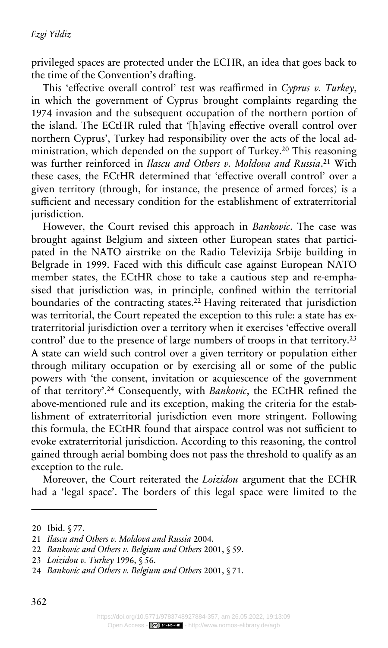privileged spaces are protected under the ECHR, an idea that goes back to the time of the Convention's drafting.

This 'effective overall control' test was reaffirmed in *Cyprus v. Turkey*, in which the government of Cyprus brought complaints regarding the 1974 invasion and the subsequent occupation of the northern portion of the island. The ECtHR ruled that '[h]aving effective overall control over northern Cyprus', Turkey had responsibility over the acts of the local administration, which depended on the support of Turkey.<sup>20</sup> This reasoning was further reinforced in *Ilascu and Others v. Moldova and Russia*. <sup>21</sup> With these cases, the ECtHR determined that 'effective overall control' over a given territory (through, for instance, the presence of armed forces) is a sufficient and necessary condition for the establishment of extraterritorial jurisdiction.

However, the Court revised this approach in *Bankovic*. The case was brought against Belgium and sixteen other European states that participated in the NATO airstrike on the Radio Televizija Srbije building in Belgrade in 1999. Faced with this difficult case against European NATO member states, the ECtHR chose to take a cautious step and re-emphasised that jurisdiction was, in principle, confined within the territorial boundaries of the contracting states.<sup>22</sup> Having reiterated that jurisdiction was territorial, the Court repeated the exception to this rule: a state has extraterritorial jurisdiction over a territory when it exercises 'effective overall control' due to the presence of large numbers of troops in that territory.<sup>23</sup> A state can wield such control over a given territory or population either through military occupation or by exercising all or some of the public powers with 'the consent, invitation or acquiescence of the government of that territory'.<sup>24</sup> Consequently, with *Bankovic*, the ECtHR refined the above-mentioned rule and its exception, making the criteria for the establishment of extraterritorial jurisdiction even more stringent. Following this formula, the ECtHR found that airspace control was not sufficient to evoke extraterritorial jurisdiction. According to this reasoning, the control gained through aerial bombing does not pass the threshold to qualify as an exception to the rule.

Moreover, the Court reiterated the *Loizidou* argument that the ECHR had a 'legal space'. The borders of this legal space were limited to the

<sup>20</sup> Ibid. § 77.

<sup>21</sup> *Ilascu and Others v. Moldova and Russia* 2004.

<sup>22</sup> *Bankovic and Others v. Belgium and Others* 2001, § 59.

<sup>23</sup> *Loizidou v. Turkey* 1996, § 56.

<sup>24</sup> *Bankovic and Others v. Belgium and Others* 2001, § 71.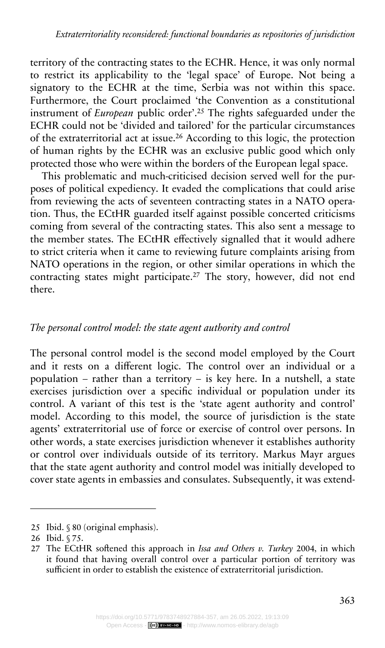territory of the contracting states to the ECHR. Hence, it was only normal to restrict its applicability to the 'legal space' of Europe. Not being a signatory to the ECHR at the time, Serbia was not within this space. Furthermore, the Court proclaimed 'the Convention as a constitutional instrument of *European* public order'.<sup>25</sup> The rights safeguarded under the ECHR could not be 'divided and tailored' for the particular circumstances of the extraterritorial act at issue.<sup>26</sup> According to this logic, the protection of human rights by the ECHR was an exclusive public good which only protected those who were within the borders of the European legal space.

This problematic and much-criticised decision served well for the purposes of political expediency. It evaded the complications that could arise from reviewing the acts of seventeen contracting states in a NATO operation. Thus, the ECtHR guarded itself against possible concerted criticisms coming from several of the contracting states. This also sent a message to the member states. The ECtHR effectively signalled that it would adhere to strict criteria when it came to reviewing future complaints arising from NATO operations in the region, or other similar operations in which the contracting states might participate.<sup>27</sup> The story, however, did not end there.

## *The personal control model: the state agent authority and control*

The personal control model is the second model employed by the Court and it rests on a different logic. The control over an individual or a population – rather than a territory – is key here. In a nutshell, a state exercises jurisdiction over a specific individual or population under its control. A variant of this test is the 'state agent authority and control' model. According to this model, the source of jurisdiction is the state agents' extraterritorial use of force or exercise of control over persons. In other words, a state exercises jurisdiction whenever it establishes authority or control over individuals outside of its territory. Markus Mayr argues that the state agent authority and control model was initially developed to cover state agents in embassies and consulates. Subsequently, it was extend-

<sup>25</sup> Ibid. § 80 (original emphasis).

<sup>26</sup> Ibid. § 75.

<sup>27</sup> The ECtHR softened this approach in *Issa and Others v. Turkey* 2004, in which it found that having overall control over a particular portion of territory was sufficient in order to establish the existence of extraterritorial jurisdiction.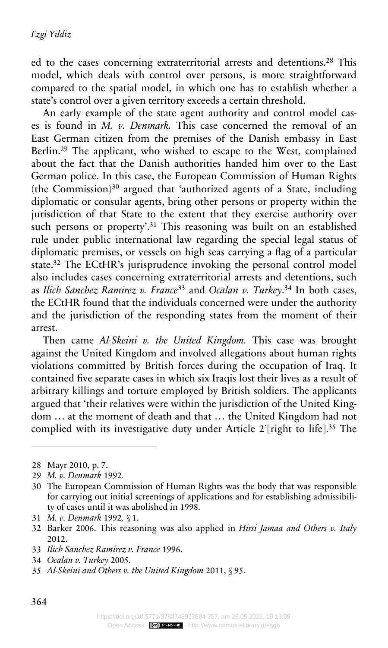ed to the cases concerning extraterritorial arrests and detentions.<sup>28</sup> This model, which deals with control over persons, is more straightforward compared to the spatial model, in which one has to establish whether a state's control over a given territory exceeds a certain threshold.

An early example of the state agent authority and control model cases is found in *M. v. Denmark.* This case concerned the removal of an East German citizen from the premises of the Danish embassy in East Berlin.<sup>29</sup> The applicant, who wished to escape to the West, complained about the fact that the Danish authorities handed him over to the East German police. In this case, the European Commission of Human Rights (the Commission) $30$  argued that 'authorized agents of a State, including diplomatic or consular agents, bring other persons or property within the jurisdiction of that State to the extent that they exercise authority over such persons or property'.<sup>31</sup> This reasoning was built on an established rule under public international law regarding the special legal status of diplomatic premises, or vessels on high seas carrying a flag of a particular state.<sup>32</sup> The ECtHR's jurisprudence invoking the personal control model also includes cases concerning extraterritorial arrests and detentions, such as *Ilich Sanchez Ramirez v. France*<sup>33</sup> and *Ocalan v. Turkey*. <sup>34</sup> In both cases, the ECtHR found that the individuals concerned were under the authority and the jurisdiction of the responding states from the moment of their arrest.

Then came *Al-Skeini v. the United Kingdom.* This case was brought against the United Kingdom and involved allegations about human rights violations committed by British forces during the occupation of Iraq. It contained five separate cases in which six Iraqis lost their lives as a result of arbitrary killings and torture employed by British soldiers. The applicants argued that 'their relatives were within the jurisdiction of the United Kingdom … at the moment of death and that … the United Kingdom had not complied with its investigative duty under Article 2'[right to life].<sup>35</sup> The

<sup>28</sup> Mayr 2010, p. 7.

<sup>29</sup> *M. v. Denmark* 1992*.*

<sup>30</sup> The European Commission of Human Rights was the body that was responsible for carrying out initial screenings of applications and for establishing admissibility of cases until it was abolished in 1998.

<sup>31</sup> *M. v. Denmark* 1992*,* § 1.

<sup>32</sup> Barker 2006. This reasoning was also applied in *Hirsi Jamaa and Others v. Italy*  2012.

<sup>33</sup> *Ilich Sanchez Ramirez v. France* 1996.

<sup>34</sup> *Ocalan v. Turkey* 2005.

<sup>35</sup> *Al-Skeini and Others v. the United Kingdom* 2011, § 95.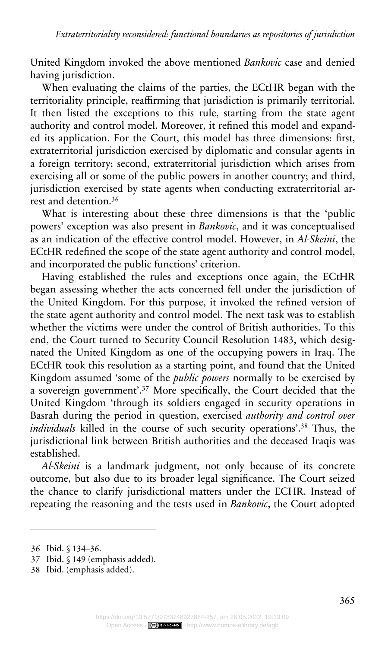United Kingdom invoked the above mentioned *Bankovic* case and denied having jurisdiction.

When evaluating the claims of the parties, the ECtHR began with the territoriality principle, reaffirming that jurisdiction is primarily territorial. It then listed the exceptions to this rule, starting from the state agent authority and control model. Moreover, it refined this model and expanded its application. For the Court, this model has three dimensions: first, extraterritorial jurisdiction exercised by diplomatic and consular agents in a foreign territory; second, extraterritorial jurisdiction which arises from exercising all or some of the public powers in another country; and third, jurisdiction exercised by state agents when conducting extraterritorial arrest and detention.<sup>36</sup>

What is interesting about these three dimensions is that the 'public powers' exception was also present in *Bankovic*, and it was conceptualised as an indication of the effective control model. However, in *Al-Skeini*, the ECtHR redefined the scope of the state agent authority and control model, and incorporated the public functions' criterion.

Having established the rules and exceptions once again, the ECtHR began assessing whether the acts concerned fell under the jurisdiction of the United Kingdom. For this purpose, it invoked the refined version of the state agent authority and control model. The next task was to establish whether the victims were under the control of British authorities. To this end, the Court turned to Security Council Resolution 1483, which designated the United Kingdom as one of the occupying powers in Iraq. The ECtHR took this resolution as a starting point, and found that the United Kingdom assumed 'some of the *public powers* normally to be exercised by a sovereign government'.<sup>37</sup> More specifically, the Court decided that the United Kingdom 'through its soldiers engaged in security operations in Basrah during the period in question, exercised *authority and control over individuals* killed in the course of such security operations'.<sup>38</sup> Thus, the jurisdictional link between British authorities and the deceased Iraqis was established.

*Al-Skeini* is a landmark judgment, not only because of its concrete outcome, but also due to its broader legal significance. The Court seized the chance to clarify jurisdictional matters under the ECHR. Instead of repeating the reasoning and the tests used in *Bankovic*, the Court adopted

<sup>36</sup> Ibid. § 134–36.

<sup>37</sup> Ibid. § 149 (emphasis added).

<sup>38</sup> Ibid. (emphasis added).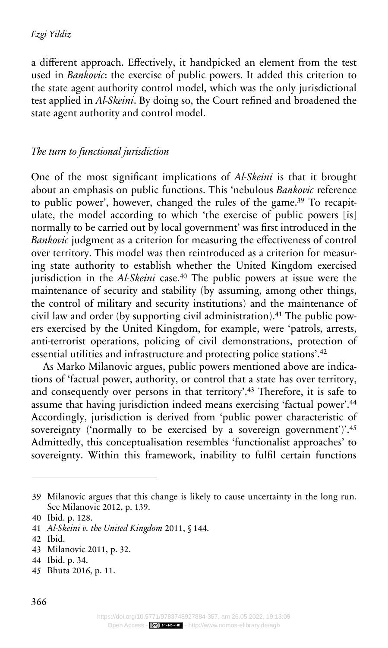a different approach. Effectively, it handpicked an element from the test used in *Bankovic*: the exercise of public powers. It added this criterion to the state agent authority control model, which was the only jurisdictional test applied in *Al-Skeini*. By doing so, the Court refined and broadened the state agent authority and control model.

## *The turn to functional jurisdiction*

One of the most significant implications of *Al-Skeini* is that it brought about an emphasis on public functions. This 'nebulous *Bankovic* reference to public power', however, changed the rules of the game.<sup>39</sup> To recapitulate, the model according to which 'the exercise of public powers [is] normally to be carried out by local government' was first introduced in the *Bankovic* judgment as a criterion for measuring the effectiveness of control over territory. This model was then reintroduced as a criterion for measuring state authority to establish whether the United Kingdom exercised jurisdiction in the *Al-Skeini* case.<sup>40</sup> The public powers at issue were the maintenance of security and stability (by assuming, among other things, the control of military and security institutions) and the maintenance of civil law and order (by supporting civil administration).<sup>41</sup> The public powers exercised by the United Kingdom, for example, were 'patrols, arrests, anti-terrorist operations, policing of civil demonstrations, protection of essential utilities and infrastructure and protecting police stations'.<sup>42</sup>

As Marko Milanovic argues, public powers mentioned above are indications of 'factual power, authority, or control that a state has over territory, and consequently over persons in that territory'.<sup>43</sup> Therefore, it is safe to assume that having jurisdiction indeed means exercising 'factual power'.<sup>44</sup> Accordingly, jurisdiction is derived from 'public power characteristic of sovereignty ('normally to be exercised by a sovereign government')'.<sup>45</sup> Admittedly, this conceptualisation resembles 'functionalist approaches' to sovereignty. Within this framework, inability to fulfil certain functions

42 Ibid.

<sup>39</sup> Milanovic argues that this change is likely to cause uncertainty in the long run. See Milanovic 2012, p. 139.

<sup>40</sup> Ibid. p. 128.

<sup>41</sup> *Al-Skeini v. the United Kingdom* 2011, § 144.

<sup>43</sup> Milanovic 2011, p. 32.

<sup>44</sup> Ibid. p. 34.

<sup>45</sup> Bhuta 2016, p. 11.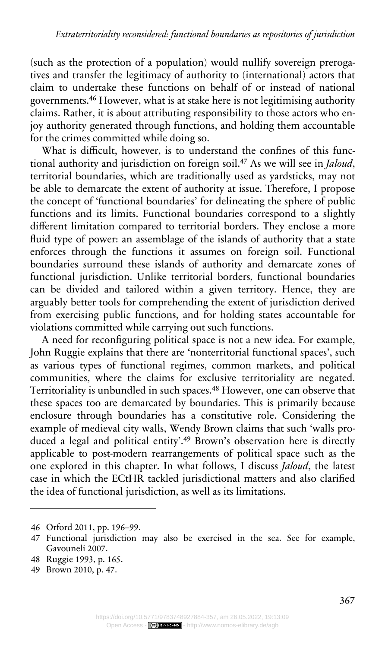(such as the protection of a population) would nullify sovereign prerogatives and transfer the legitimacy of authority to (international) actors that claim to undertake these functions on behalf of or instead of national governments.<sup>46</sup> However, what is at stake here is not legitimising authority claims. Rather, it is about attributing responsibility to those actors who enjoy authority generated through functions, and holding them accountable for the crimes committed while doing so.

What is difficult, however, is to understand the confines of this functional authority and jurisdiction on foreign soil.<sup>47</sup> As we will see in *Jaloud*, territorial boundaries, which are traditionally used as yardsticks, may not be able to demarcate the extent of authority at issue. Therefore, I propose the concept of 'functional boundaries' for delineating the sphere of public functions and its limits. Functional boundaries correspond to a slightly different limitation compared to territorial borders. They enclose a more fluid type of power: an assemblage of the islands of authority that a state enforces through the functions it assumes on foreign soil. Functional boundaries surround these islands of authority and demarcate zones of functional jurisdiction. Unlike territorial borders, functional boundaries can be divided and tailored within a given territory. Hence, they are arguably better tools for comprehending the extent of jurisdiction derived from exercising public functions, and for holding states accountable for violations committed while carrying out such functions.

A need for reconfiguring political space is not a new idea. For example, John Ruggie explains that there are 'nonterritorial functional spaces', such as various types of functional regimes, common markets, and political communities, where the claims for exclusive territoriality are negated. Territoriality is unbundled in such spaces.<sup>48</sup> However, one can observe that these spaces too are demarcated by boundaries. This is primarily because enclosure through boundaries has a constitutive role. Considering the example of medieval city walls, Wendy Brown claims that such 'walls produced a legal and political entity'.<sup>49</sup> Brown's observation here is directly applicable to post-modern rearrangements of political space such as the one explored in this chapter. In what follows, I discuss *Jaloud*, the latest case in which the ECtHR tackled jurisdictional matters and also clarified the idea of functional jurisdiction, as well as its limitations.

<sup>46</sup> Orford 2011, pp. 196–99.

<sup>47</sup> Functional jurisdiction may also be exercised in the sea. See for example, Gavouneli 2007.

<sup>48</sup> Ruggie 1993, p. 165.

<sup>49</sup> Brown 2010, p. 47.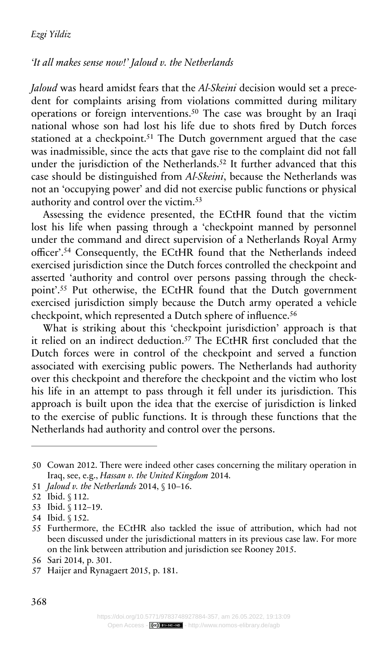#### *'It all makes sense now!' Jaloud v. the Netherlands*

*Jaloud* was heard amidst fears that the *Al-Skeini* decision would set a precedent for complaints arising from violations committed during military operations or foreign interventions.<sup>50</sup> The case was brought by an Iraqi national whose son had lost his life due to shots fired by Dutch forces stationed at a checkpoint.<sup>51</sup> The Dutch government argued that the case was inadmissible, since the acts that gave rise to the complaint did not fall under the jurisdiction of the Netherlands.<sup>52</sup> It further advanced that this case should be distinguished from *Al-Skeini*, because the Netherlands was not an 'occupying power' and did not exercise public functions or physical authority and control over the victim. $53$ 

Assessing the evidence presented, the ECtHR found that the victim lost his life when passing through a 'checkpoint manned by personnel under the command and direct supervision of a Netherlands Royal Army officer'.<sup>54</sup> Consequently, the ECtHR found that the Netherlands indeed exercised jurisdiction since the Dutch forces controlled the checkpoint and asserted 'authority and control over persons passing through the checkpoint'.<sup>55</sup> Put otherwise, the ECtHR found that the Dutch government exercised jurisdiction simply because the Dutch army operated a vehicle checkpoint, which represented a Dutch sphere of influence.<sup>56</sup>

What is striking about this 'checkpoint jurisdiction' approach is that it relied on an indirect deduction.<sup>57</sup> The ECtHR first concluded that the Dutch forces were in control of the checkpoint and served a function associated with exercising public powers. The Netherlands had authority over this checkpoint and therefore the checkpoint and the victim who lost his life in an attempt to pass through it fell under its jurisdiction. This approach is built upon the idea that the exercise of jurisdiction is linked to the exercise of public functions. It is through these functions that the Netherlands had authority and control over the persons.

<sup>50</sup> Cowan 2012. There were indeed other cases concerning the military operation in Iraq, see, e.g., *Hassan v. the United Kingdom* 2014.

<sup>51</sup> *Jaloud v. the Netherlands* 2014, § 10–16.

<sup>52</sup> Ibid. § 112.

<sup>53</sup> Ibid. § 112–19.

<sup>54</sup> Ibid. § 152.

<sup>55</sup> Furthermore, the ECtHR also tackled the issue of attribution, which had not been discussed under the jurisdictional matters in its previous case law. For more on the link between attribution and jurisdiction see Rooney 2015.

<sup>56</sup> Sari 2014, p. 301.

<sup>57</sup> Haijer and Rynagaert 2015, p. 181.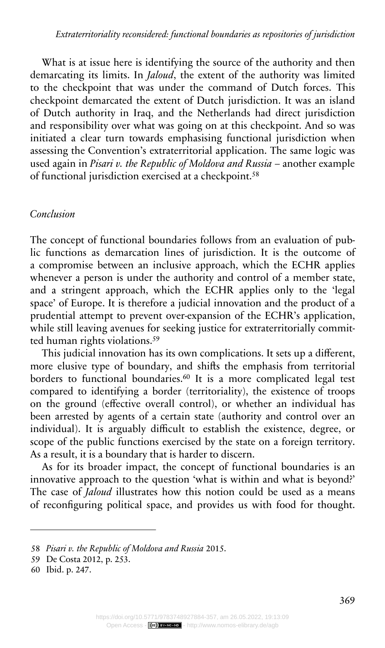What is at issue here is identifying the source of the authority and then demarcating its limits. In *Jaloud*, the extent of the authority was limited to the checkpoint that was under the command of Dutch forces. This checkpoint demarcated the extent of Dutch jurisdiction. It was an island of Dutch authority in Iraq, and the Netherlands had direct jurisdiction and responsibility over what was going on at this checkpoint. And so was initiated a clear turn towards emphasising functional jurisdiction when assessing the Convention's extraterritorial application. The same logic was used again in *Pisari v. the Republic of Moldova and Russia* – another example of functional jurisdiction exercised at a checkpoint.<sup>58</sup>

## *Conclusion*

The concept of functional boundaries follows from an evaluation of public functions as demarcation lines of jurisdiction. It is the outcome of a compromise between an inclusive approach, which the ECHR applies whenever a person is under the authority and control of a member state, and a stringent approach, which the ECHR applies only to the 'legal space' of Europe. It is therefore a judicial innovation and the product of a prudential attempt to prevent over-expansion of the ECHR's application, while still leaving avenues for seeking justice for extraterritorially committed human rights violations.<sup>59</sup>

This judicial innovation has its own complications. It sets up a different, more elusive type of boundary, and shifts the emphasis from territorial borders to functional boundaries.<sup>60</sup> It is a more complicated legal test compared to identifying a border (territoriality), the existence of troops on the ground (effective overall control), or whether an individual has been arrested by agents of a certain state (authority and control over an individual). It is arguably difficult to establish the existence, degree, or scope of the public functions exercised by the state on a foreign territory. As a result, it is a boundary that is harder to discern.

As for its broader impact, the concept of functional boundaries is an innovative approach to the question 'what is within and what is beyond?' The case of *Jaloud* illustrates how this notion could be used as a means of reconfiguring political space, and provides us with food for thought.

<sup>58</sup> *Pisari v. the Republic of Moldova and Russia* 2015.

<sup>59</sup> De Costa 2012, p. 253.

<sup>60</sup> Ibid. p. 247.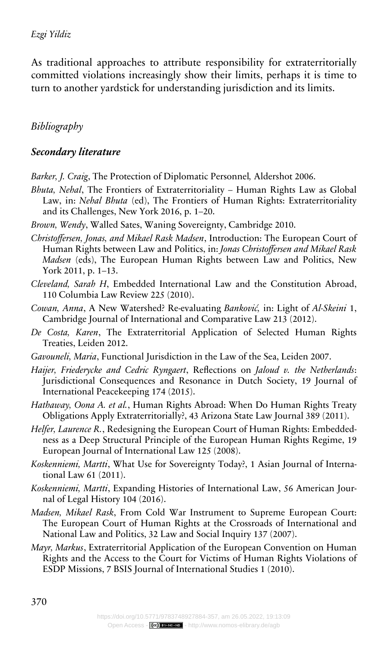As traditional approaches to attribute responsibility for extraterritorially committed violations increasingly show their limits, perhaps it is time to turn to another yardstick for understanding jurisdiction and its limits.

## *Bibliography*

### *Secondary literature*

- *Barker, J. Craig*, The Protection of Diplomatic Personnel*,* Aldershot 2006.
- *Bhuta, Nehal*, The Frontiers of Extraterritoriality Human Rights Law as Global Law, in: *Nehal Bhuta* (ed), The Frontiers of Human Rights: Extraterritoriality and its Challenges, New York 2016, p. 1–20.
- *Brown, Wendy*, Walled Sates, Waning Sovereignty, Cambridge 2010.
- *Christoffersen, Jonas, and Mikael Rask Madsen*, Introduction: The European Court of Human Rights between Law and Politics, in: *Jonas Christoffersen and Mikael Rask Madsen* (eds), The European Human Rights between Law and Politics, New York 2011, p. 1–13.
- *Cleveland, Sarah H*, Embedded International Law and the Constitution Abroad, 110 Columbia Law Review 225 (2010).
- *Cowan, Anna*, A New Watershed? Re-evaluating *Banković,* in: Light of *Al-Skeini* 1, Cambridge Journal of International and Comparative Law 213 (2012).
- *De Costa, Karen*, The Extraterritorial Application of Selected Human Rights Treaties, Leiden 2012.
- *Gavouneli, Maria*, Functional Jurisdiction in the Law of the Sea, Leiden 2007.
- *Haijer, Friederycke and Cedric Ryngaert*, Reflections on *Jaloud v. the Netherlands*: Jurisdictional Consequences and Resonance in Dutch Society, 19 Journal of International Peacekeeping 174 (2015).
- *Hathaway, Oona A. et al.*, Human Rights Abroad: When Do Human Rights Treaty Obligations Apply Extraterritorially?, 43 Arizona State Law Journal 389 (2011).
- *Helfer, Laurence R.*, Redesigning the European Court of Human Rights: Embeddedness as a Deep Structural Principle of the European Human Rights Regime, 19 European Journal of International Law 125 (2008).
- *Koskenniemi, Martti*, What Use for Sovereignty Today?, 1 Asian Journal of International Law 61 (2011).
- *Koskenniemi, Martti*, Expanding Histories of International Law, 56 American Journal of Legal History 104 (2016).
- *Madsen, Mikael Rask*, From Cold War Instrument to Supreme European Court: The European Court of Human Rights at the Crossroads of International and National Law and Politics, 32 Law and Social Inquiry 137 (2007).
- *Mayr, Markus*, Extraterritorial Application of the European Convention on Human Rights and the Access to the Court for Victims of Human Rights Violations of ESDP Missions, 7 BSIS Journal of International Studies 1 (2010).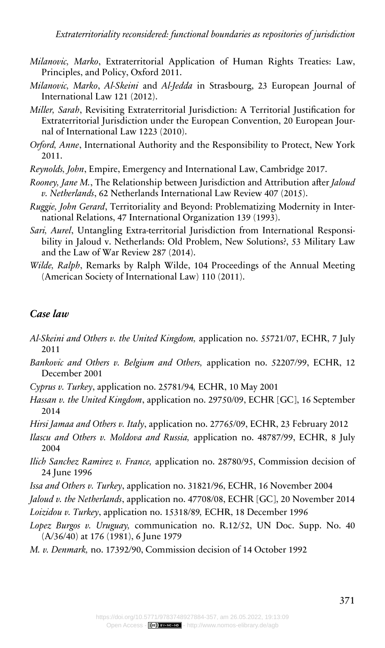- *Milanovic, Marko*, Extraterritorial Application of Human Rights Treaties: Law, Principles, and Policy, Oxford 2011.
- *Milanovic, Marko*, *Al-Skeini* and *Al-Jedda* in Strasbourg, 23 European Journal of International Law 121 (2012).
- *Miller, Sarah*, Revisiting Extraterritorial Jurisdiction: A Territorial Justification for Extraterritorial Jurisdiction under the European Convention, 20 European Journal of International Law 1223 (2010).
- *Orford, Anne*, International Authority and the Responsibility to Protect, New York 2011.
- *Reynolds, John*, Empire, Emergency and International Law, Cambridge 2017.
- *Rooney, Jane M.*, The Relationship between Jurisdiction and Attribution after *Jaloud v. Netherlands*, 62 Netherlands International Law Review 407 (2015).
- *Ruggie, John Gerard*, Territoriality and Beyond: Problematizing Modernity in International Relations, 47 International Organization 139 (1993).
- *Sari, Aurel*, Untangling Extra-territorial Jurisdiction from International Responsibility in Jaloud v. Netherlands: Old Problem, New Solutions?, 53 Military Law and the Law of War Review 287 (2014).
- *Wilde, Ralph*, Remarks by Ralph Wilde, 104 Proceedings of the Annual Meeting (American Society of International Law) 110 (2011).

#### *Case law*

- *Al-Skeini and Others v. the United Kingdom,* application no. 55721/07, ECHR, 7 July 2011
- *Bankovic and Others v. Belgium and Others,* application no. 52207/99, ECHR, 12 December 2001
- *Cyprus v. Turkey*, application no. 25781/94*,* ECHR, 10 May 2001
- *Hassan v. the United Kingdom*, application no. 29750/09, ECHR [GC], 16 September 2014
- *Hirsi Jamaa and Others v. Italy*, application no. 27765/09, ECHR, 23 February 2012
- *Ilascu and Others v. Moldova and Russia,* application no. 48787/99, ECHR, 8 July 2004
- *Ilich Sanchez Ramirez v. France,* application no. 28780/95, Commission decision of 24 June 1996
- *Issa and Others v. Turkey*, application no. 31821/96, ECHR, 16 November 2004
- *Jaloud v. the Netherlands*, application no. 47708/08, ECHR [GC], 20 November 2014
- *Loizidou v. Turkey*, application no. 15318/89*,* ECHR, 18 December 1996
- *Lopez Burgos v. Uruguay,* communication no. R.12/52, UN Doc. Supp. No. 40 (A/36/40) at 176 (1981), 6 June 1979
- *M. v. Denmark,* no. 17392/90, Commission decision of 14 October 1992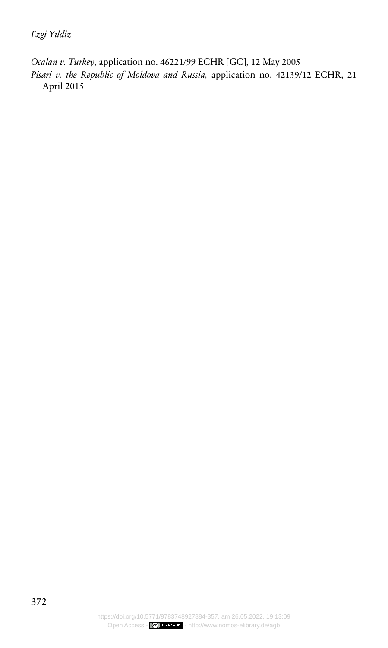*Ocalan v. Turkey*, application no. 46221/99 ECHR [GC], 12 May 2005 *Pisari v. the Republic of Moldova and Russia,* application no. 42139/12 ECHR, 21 April 2015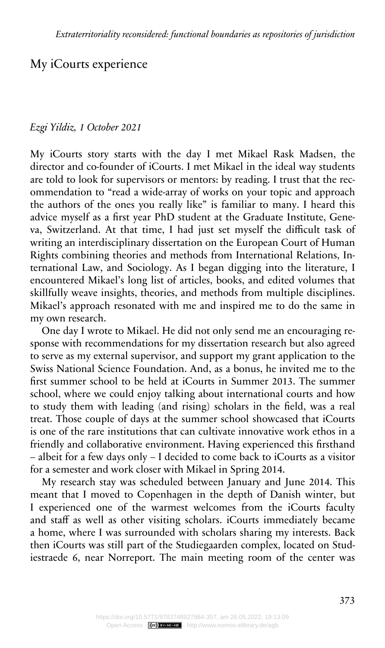## My iCourts experience

## *Ezgi Yildiz, 1 October 2021*

My iCourts story starts with the day I met Mikael Rask Madsen, the director and co-founder of iCourts. I met Mikael in the ideal way students are told to look for supervisors or mentors: by reading. I trust that the recommendation to "read a wide-array of works on your topic and approach the authors of the ones you really like" is familiar to many. I heard this advice myself as a first year PhD student at the Graduate Institute, Geneva, Switzerland. At that time, I had just set myself the difficult task of writing an interdisciplinary dissertation on the European Court of Human Rights combining theories and methods from International Relations, International Law, and Sociology. As I began digging into the literature, I encountered Mikael's long list of articles, books, and edited volumes that skillfully weave insights, theories, and methods from multiple disciplines. Mikael's approach resonated with me and inspired me to do the same in my own research.

One day I wrote to Mikael. He did not only send me an encouraging response with recommendations for my dissertation research but also agreed to serve as my external supervisor, and support my grant application to the Swiss National Science Foundation. And, as a bonus, he invited me to the first summer school to be held at iCourts in Summer 2013. The summer school, where we could enjoy talking about international courts and how to study them with leading (and rising) scholars in the field, was a real treat. Those couple of days at the summer school showcased that iCourts is one of the rare institutions that can cultivate innovative work ethos in a friendly and collaborative environment. Having experienced this firsthand – albeit for a few days only – I decided to come back to iCourts as a visitor for a semester and work closer with Mikael in Spring 2014.

My research stay was scheduled between January and June 2014. This meant that I moved to Copenhagen in the depth of Danish winter, but I experienced one of the warmest welcomes from the iCourts faculty and staff as well as other visiting scholars. iCourts immediately became a home, where I was surrounded with scholars sharing my interests. Back then iCourts was still part of the Studiegaarden complex, located on Studiestraede 6, near Norreport. The main meeting room of the center was